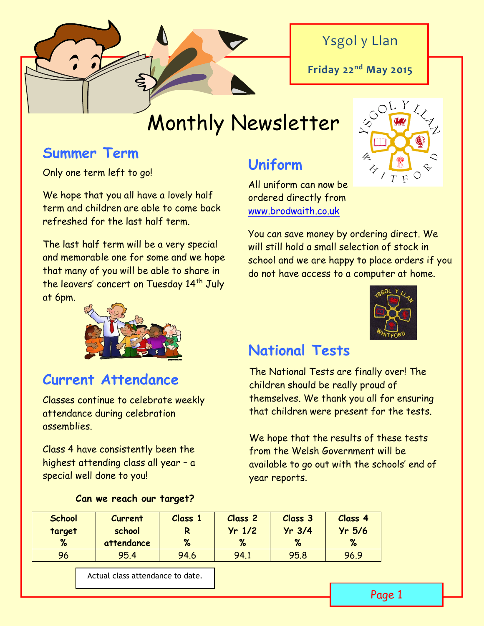

### Ysgol y Llan

**Friday 22nd May 2015**

# Monthly Newsletter

### **Summer Term**

Only one term left to go!

We hope that you all have a lovely half term and children are able to come back refreshed for the last half term.

The last half term will be a very special and memorable one for some and we hope that many of you will be able to share in the leavers' concert on Tuesday 14<sup>th</sup> July at 6pm.

## **Uniform**

All uniform can now be ordered directly from [www.brodwaith.co.uk](http://www.brodwaith.co.uk/)

You can save money by ordering direct. We will still hold a small selection of stock in school and we are happy to place orders if you do not have access to a computer at home.



### **National Tests**

**Current Attendance** The National Tests are finally over! The children should be really proud of themselves. We thank you all for ensuring that children were present for the tests.

> We hope that the results of these tests from the Welsh Government will be available to go out with the schools' end of year reports.

| <b>School</b> | <b>Current</b> | Class 1 | <b>Class 2</b> | <b>Class 3</b> | Class 4  |
|---------------|----------------|---------|----------------|----------------|----------|
| target        | school         | R       | $Yr$ 1/2       | $Yr$ 3/4       | $Yr$ 5/6 |
| %             | attendance     | %       | %              | %              | %        |
| 96            | 95.4           | 94.6    | 94.1           | 95.8           | 96.9     |

Actual class attendance to date.

Classes continue to celebrate weekly attendance during celebration assemblies.

Class 4 have consistently been the highest attending class all year – a special well done to you!

| Can we reach our target? |  |  |
|--------------------------|--|--|
|--------------------------|--|--|